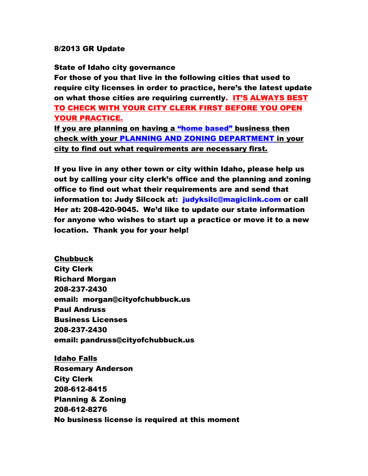## 8/2013 GR Update

State of Idaho city governance

For those of you that live in the following cities that used to require city licenses in order to practice, here's the latest update on what those cities are requiring currently. IT'S ALWAYS BEST TO CHECK WITH YOUR CITY CLERK FIRST BEFORE YOU OPEN YOUR PRACTICE.

If you are planning on having a "home based" business then check with your PLANNING AND ZONING DEPARTMENT in your city to find out what requirements are necessary first.

If you live in any other town or city within Idaho, please help us out by calling your city clerk's office and the planning and zoning office to find out what their requirements are and send that information to: Judy Silcock at: [judyksilc@magiclink.com](mailto:judyksilc@magiclink.com) or call Her at: 208-420-9045. We'd like to update our state information for anyone who wishes to start up a practice or move it to a new location. Thank you for your help!

Chubbuck City Clerk Richard Morgan 208-237-2430 email: morgan@cityofchubbuck.us Paul Andruss Business Licenses 208-237-2430 email: pandruss@cityofchubbuck.us

Idaho Falls Rosemary Anderson City Clerk 208-612-8415 Planning & Zoning 208-612-8276 No business license is required at this moment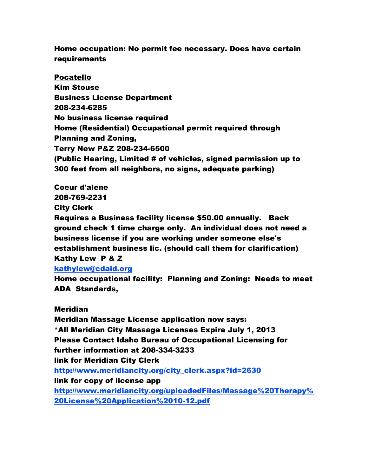## Home occupation: No permit fee necessary. Does have certain requirements

Pocatello Kim Stouse Business License Department 208-234-6285 No business license required Home (Residential) Occupational permit required through Planning and Zoning, Terry New P&Z 208-234-6500 (Public Hearing, Limited # of vehicles, signed permission up to 300 feet from all neighbors, no signs, adequate parking)

Coeur d'alene 208-769-2231 City Clerk

Requires a Business facility license \$50.00 annually. Back ground check 1 time charge only. An individual does not need a business license if you are working under someone else's establishment business lic. (should call them for clarification) Kathy Lew P & Z

[kathylew@cdaid.org](mailto:kathylew@cdaid.org)

Home occupational facility: Planning and Zoning: Needs to meet ADA Standards,

Meridian

Meridian Massage License application now says: \*All Meridian City Massage Licenses Expire July 1, 2013 Please Contact Idaho Bureau of Occupational Licensing for further information at 208-334-3233 link for Meridian City Clerk [http://www.meridiancity.org/city\\_clerk.aspx?id=2630](http://www.meridiancity.org/city_clerk.aspx?id=2630) link for copy of license app [http://www.meridiancity.org/uploadedFiles/Massage%20Therapy%](http://www.meridiancity.org/uploadedFiles/Massage%20Therapy%20License%20Application%2010-12.pdf) [20License%20Application%2010-12.pdf](http://www.meridiancity.org/uploadedFiles/Massage%20Therapy%20License%20Application%2010-12.pdf)